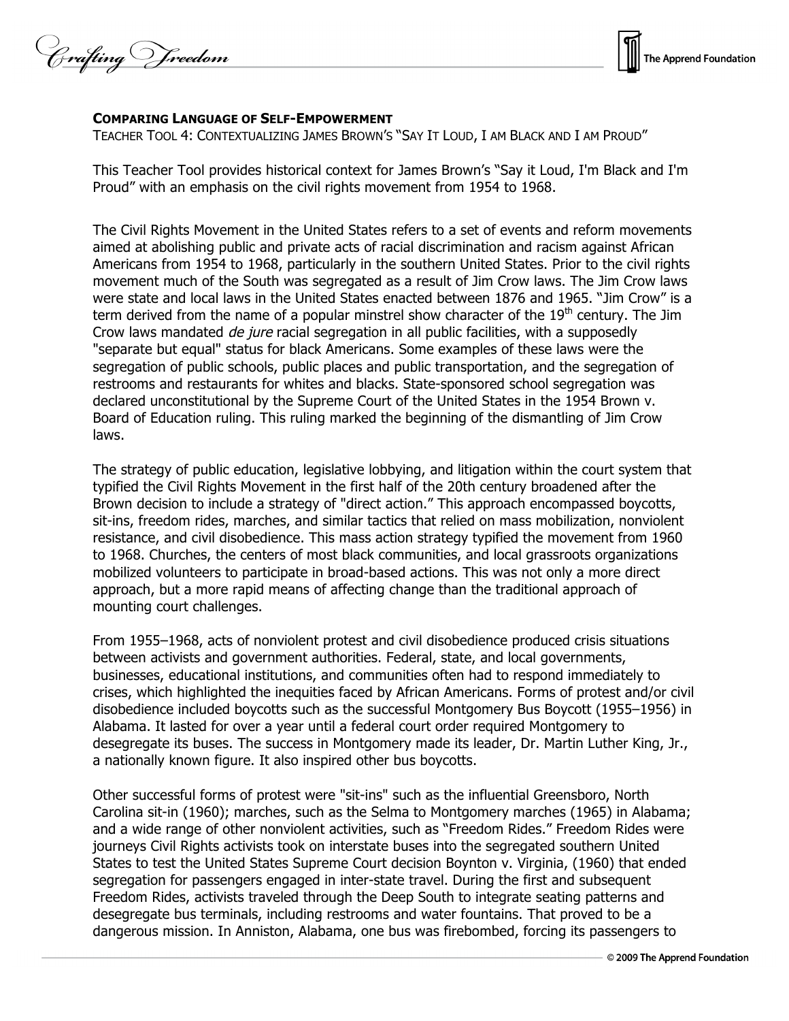Crafting Vreedom



## **COMPARING LANGUAGE OF SELF-EMPOWERMENT**

TEACHER TOOL 4: CONTEXTUALIZING JAMES BROWN'S "SAY IT LOUD, I AM BLACK AND I AM PROUD"

This Teacher Tool provides historical context for James Brown's "Say it Loud, I'm Black and I'm Proud" with an emphasis on the civil rights movement from 1954 to 1968.

The Civil Rights Movement in the United States refers to a set of events and reform movements aimed at abolishing public and private acts of racial discrimination and racism against African Americans from 1954 to 1968, particularly in the southern United States. Prior to the civil rights movement much of the South was segregated as a result of Jim Crow laws. The Jim Crow laws were state and local laws in the United States enacted between 1876 and 1965. "Jim Crow" is a term derived from the name of a popular minstrel show character of the  $19<sup>th</sup>$  century. The Jim Crow laws mandated *de jure* racial segregation in all public facilities, with a supposedly "separate but equal" status for black Americans. Some examples of these laws were the segregation of public schools, public places and public transportation, and the segregation of restrooms and restaurants for whites and blacks. State-sponsored school segregation was declared unconstitutional by the Supreme Court of the United States in the 1954 Brown v. Board of Education ruling. This ruling marked the beginning of the dismantling of Jim Crow laws.

The strategy of public education, legislative lobbying, and litigation within the court system that typified the Civil Rights Movement in the first half of the 20th century broadened after the Brown decision to include a strategy of "direct action." This approach encompassed boycotts, sit-ins, freedom rides, marches, and similar tactics that relied on mass mobilization, nonviolent resistance, and civil disobedience. This mass action strategy typified the movement from 1960 to 1968. Churches, the centers of most black communities, and local grassroots organizations mobilized volunteers to participate in broad-based actions. This was not only a more direct approach, but a more rapid means of affecting change than the traditional approach of mounting court challenges.

From 1955–1968, acts of nonviolent protest and civil disobedience produced crisis situations between activists and government authorities. Federal, state, and local governments, businesses, educational institutions, and communities often had to respond immediately to crises, which highlighted the inequities faced by African Americans. Forms of protest and/or civil disobedience included boycotts such as the successful Montgomery Bus Boycott (1955–1956) in Alabama. It lasted for over a year until a federal court order required Montgomery to desegregate its buses. The success in Montgomery made its leader, Dr. Martin Luther King, Jr., a nationally known figure. It also inspired other bus boycotts.

Other successful forms of protest were "sit-ins" such as the influential Greensboro, North Carolina sit-in (1960); marches, such as the Selma to Montgomery marches (1965) in Alabama; and a wide range of other nonviolent activities, such as "Freedom Rides." Freedom Rides were journeys Civil Rights activists took on interstate buses into the segregated southern United States to test the United States Supreme Court decision Boynton v. Virginia, (1960) that ended segregation for passengers engaged in inter-state travel. During the first and subsequent Freedom Rides, activists traveled through the Deep South to integrate seating patterns and desegregate bus terminals, including restrooms and water fountains. That proved to be a dangerous mission. In Anniston, Alabama, one bus was firebombed, forcing its passengers to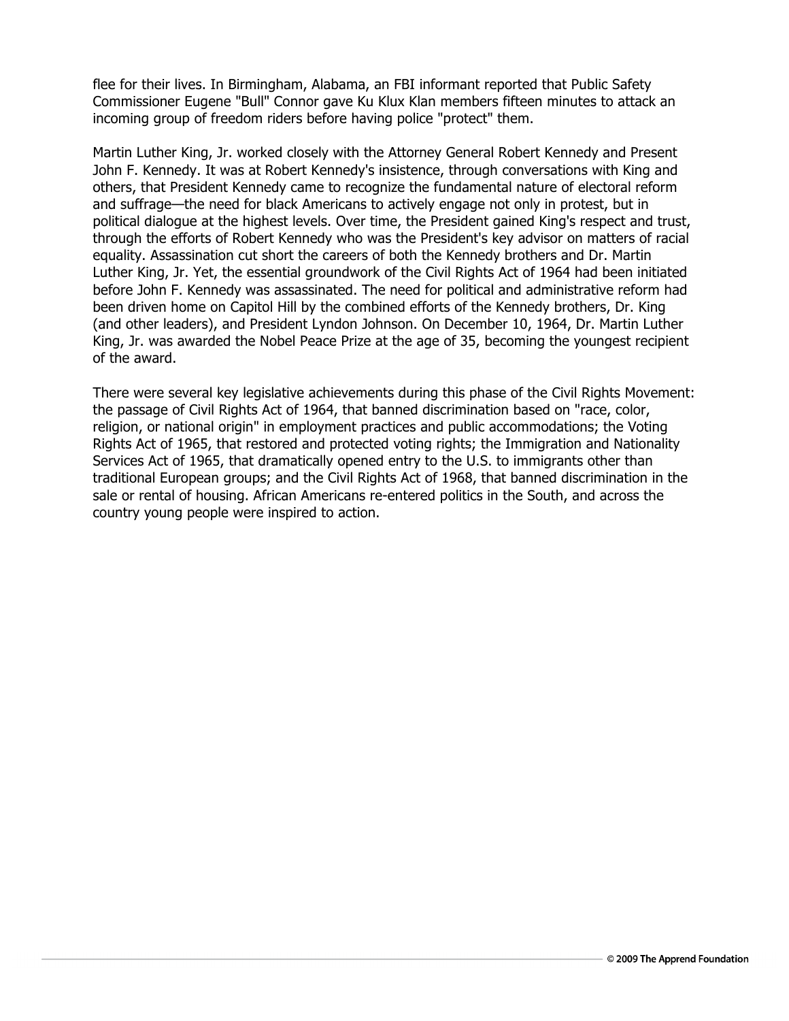flee for their lives. In Birmingham, Alabama, an FBI informant reported that Public Safety Commissioner Eugene "Bull" Connor gave Ku Klux Klan members fifteen minutes to attack an incoming group of freedom riders before having police "protect" them.

Martin Luther King, Jr. worked closely with the Attorney General Robert Kennedy and Present John F. Kennedy. It was at Robert Kennedy's insistence, through conversations with King and others, that President Kennedy came to recognize the fundamental nature of electoral reform and suffrage—the need for black Americans to actively engage not only in protest, but in political dialogue at the highest levels. Over time, the President gained King's respect and trust, through the efforts of Robert Kennedy who was the President's key advisor on matters of racial equality. Assassination cut short the careers of both the Kennedy brothers and Dr. Martin Luther King, Jr. Yet, the essential groundwork of the Civil Rights Act of 1964 had been initiated before John F. Kennedy was assassinated. The need for political and administrative reform had been driven home on Capitol Hill by the combined efforts of the Kennedy brothers, Dr. King (and other leaders), and President Lyndon Johnson. On December 10, 1964, Dr. Martin Luther King, Jr. was awarded the Nobel Peace Prize at the age of 35, becoming the youngest recipient of the award.

There were several key legislative achievements during this phase of the Civil Rights Movement: the passage of Civil Rights Act of 1964, that banned discrimination based on "race, color, religion, or national origin" in employment practices and public accommodations; the Voting Rights Act of 1965, that restored and protected voting rights; the Immigration and Nationality Services Act of 1965, that dramatically opened entry to the U.S. to immigrants other than traditional European groups; and the Civil Rights Act of 1968, that banned discrimination in the sale or rental of housing. African Americans re-entered politics in the South, and across the country young people were inspired to action.